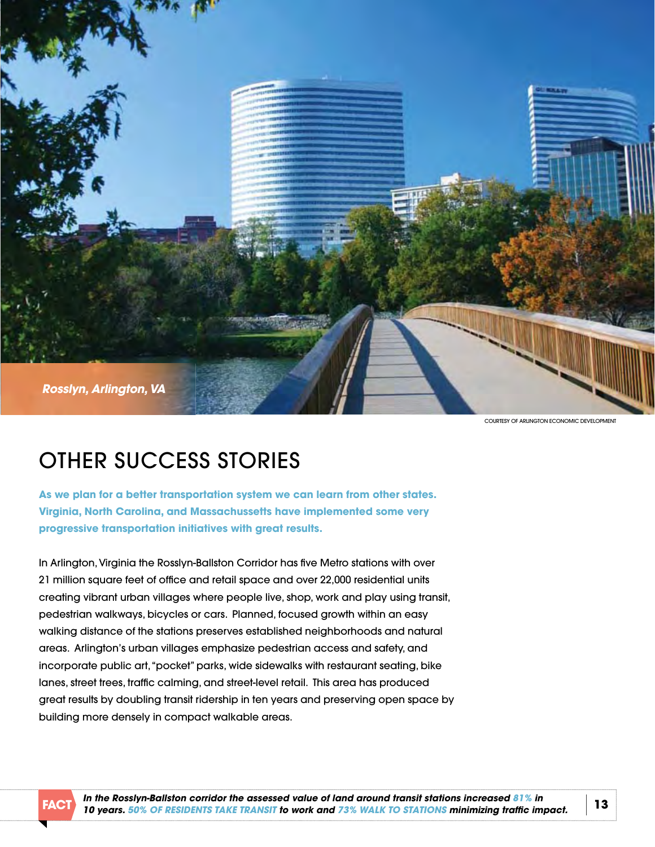

COURTESY OF ARLINGTON ECONOMIC DEVELOPMENT

## OTHEr SuCCESS STOriES

**as we plan for a better transportation system we can learn from other states. Virginia, north carolina, and Massachussetts have implemented some very progressive transportation initiatives with great results.** 

In Arlington, Virginia the Rosslyn-Ballston Corridor has five Metro stations with over 21 million square feet of office and retail space and over 22,000 residential units creating vibrant urban villages where people live, shop, work and play using transit, pedestrian walkways, bicycles or cars.Planned, focused growth within an easy walking distance of the stations preserves established neighborhoods and natural areas.arlington's urban villages emphasize pedestrian access and safety, and incorporate public art, "pocket" parks, wide sidewalks with restaurant seating, bike lanes, street trees, traffic calming, and street-level retail.This area has produced great results by doubling transit ridership in ten years and preserving open space by building more densely in compact walkable areas.